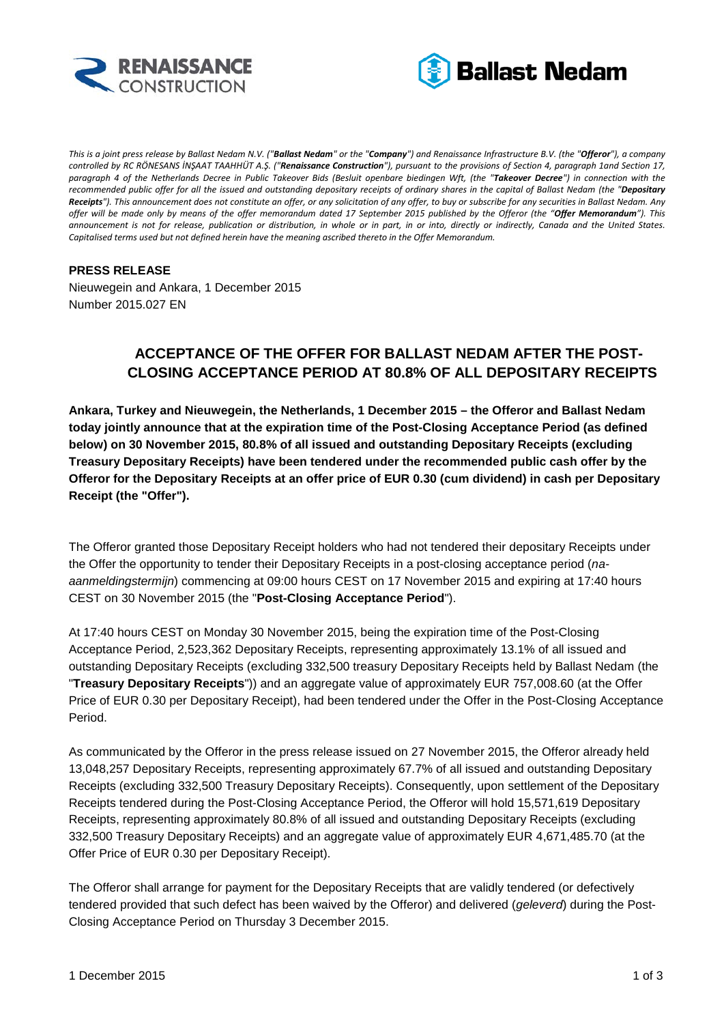



*This is a joint press release by Ballast Nedam N.V. ("Ballast Nedam" or the "Company") and Renaissance Infrastructure B.V. (the "Offeror"), a company controlled by RC RÖNESANS İNŞAAT TAAHHÜT A.Ş. ("Renaissance Construction"), pursuant to the provisions of Section 4, paragraph 1and Section 17, paragraph 4 of the Netherlands Decree in Public Takeover Bids (Besluit openbare biedingen Wft, (the "Takeover Decree") in connection with the recommended public offer for all the issued and outstanding depositary receipts of ordinary shares in the capital of Ballast Nedam (the "Depositary Receipts"). This announcement does not constitute an offer, or any solicitation of any offer, to buy or subscribe for any securities in Ballast Nedam. Any offer will be made only by means of the offer memorandum dated 17 September 2015 published by the Offeror (the "Offer Memorandum"). This announcement is not for release, publication or distribution, in whole or in part, in or into, directly or indirectly, Canada and the United States. Capitalised terms used but not defined herein have the meaning ascribed thereto in the Offer Memorandum.*

# **PRESS RELEASE**

Nieuwegein and Ankara, 1 December 2015 Number 2015.027 EN

# **ACCEPTANCE OF THE OFFER FOR BALLAST NEDAM AFTER THE POST-CLOSING ACCEPTANCE PERIOD AT 80.8% OF ALL DEPOSITARY RECEIPTS**

**Ankara, Turkey and Nieuwegein, the Netherlands, 1 December 2015 – the Offeror and Ballast Nedam today jointly announce that at the expiration time of the Post-Closing Acceptance Period (as defined below) on 30 November 2015, 80.8% of all issued and outstanding Depositary Receipts (excluding Treasury Depositary Receipts) have been tendered under the recommended public cash offer by the Offeror for the Depositary Receipts at an offer price of EUR 0.30 (cum dividend) in cash per Depositary Receipt (the "Offer").**

The Offeror granted those Depositary Receipt holders who had not tendered their depositary Receipts under the Offer the opportunity to tender their Depositary Receipts in a post-closing acceptance period (*naaanmeldingstermijn*) commencing at 09:00 hours CEST on 17 November 2015 and expiring at 17:40 hours CEST on 30 November 2015 (the "**Post-Closing Acceptance Period**").

At 17:40 hours CEST on Monday 30 November 2015, being the expiration time of the Post-Closing Acceptance Period, 2,523,362 Depositary Receipts, representing approximately 13.1% of all issued and outstanding Depositary Receipts (excluding 332,500 treasury Depositary Receipts held by Ballast Nedam (the "**Treasury Depositary Receipts**")) and an aggregate value of approximately EUR 757,008.60 (at the Offer Price of EUR 0.30 per Depositary Receipt), had been tendered under the Offer in the Post-Closing Acceptance Period.

As communicated by the Offeror in the press release issued on 27 November 2015, the Offeror already held 13,048,257 Depositary Receipts, representing approximately 67.7% of all issued and outstanding Depositary Receipts (excluding 332,500 Treasury Depositary Receipts). Consequently, upon settlement of the Depositary Receipts tendered during the Post-Closing Acceptance Period, the Offeror will hold 15,571,619 Depositary Receipts, representing approximately 80.8% of all issued and outstanding Depositary Receipts (excluding 332,500 Treasury Depositary Receipts) and an aggregate value of approximately EUR 4,671,485.70 (at the Offer Price of EUR 0.30 per Depositary Receipt).

The Offeror shall arrange for payment for the Depositary Receipts that are validly tendered (or defectively tendered provided that such defect has been waived by the Offeror) and delivered (*geleverd*) during the Post-Closing Acceptance Period on Thursday 3 December 2015.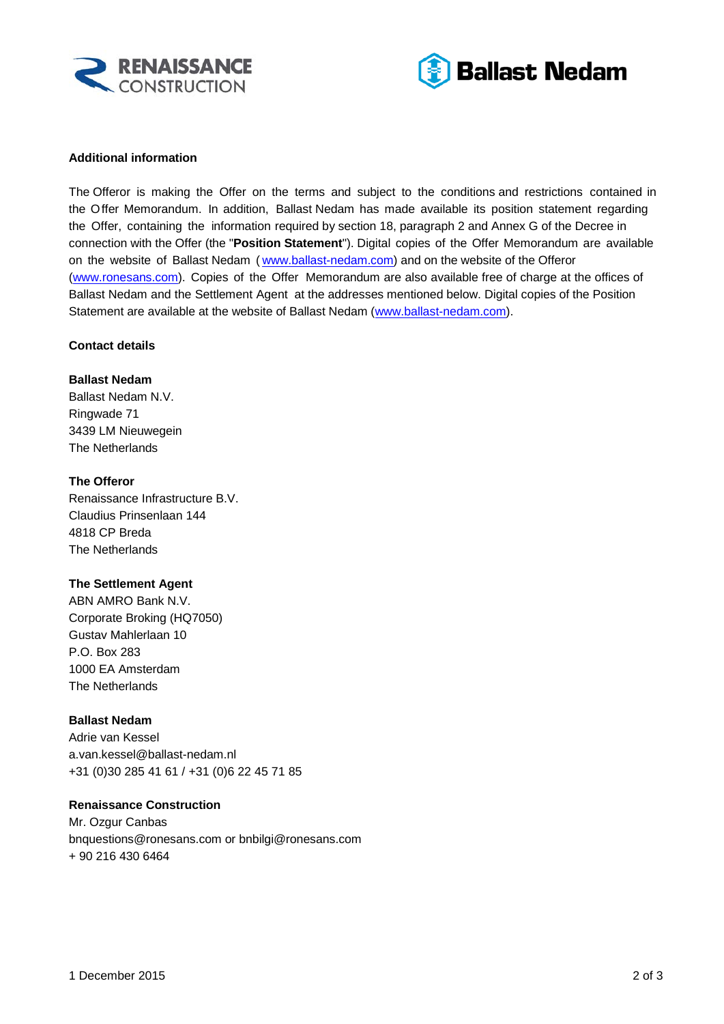



# **Additional information**

The Offeror is making the Offer on the terms and subject to the conditions and restrictions contained in the Offer Memorandum. In addition, Ballast Nedam has made available its position statement regarding the Offer, containing the information required by section 18, paragraph 2 and Annex G of the Decree in connection with the Offer (the "**Position Statement**"). Digital copies of the Offer Memorandum are available on the website of Ballast Nedam ([www.ballast-nedam.com\)](http://www.ballast-nedam.com/) and on the website of the Offeror [\(www.ronesans.com\)](http://www.ronesans.com/). Copies of the Offer Memorandum are also available free of charge at the offices of Ballast Nedam and the Settlement Agent at the addresses mentioned below. Digital copies of the Position Statement are available at the website of Ballast Nedam [\(www.ballast-nedam.com\)](http://www.ballast-nedam.com/).

#### **Contact details**

## **Ballast Nedam**

Ballast Nedam N.V. Ringwade 71 3439 LM Nieuwegein The Netherlands

## **The Offeror**

Renaissance Infrastructure B.V. Claudius Prinsenlaan 144 4818 CP Breda The Netherlands

#### **The Settlement Agent**

ABN AMRO Bank N.V. Corporate Broking (HQ7050) Gustav Mahlerlaan 10 P.O. Box 283 1000 EA Amsterdam The Netherlands

#### **Ballast Nedam**

Adrie van Kessel a.van.kessel@ballast-nedam.nl +31 (0)30 285 41 61 / +31 (0)6 22 45 71 85

#### **Renaissance Construction**

Mr. Ozgur Canbas bnquestions@ronesans.com or bnbilgi@ronesans.com + 90 216 430 6464